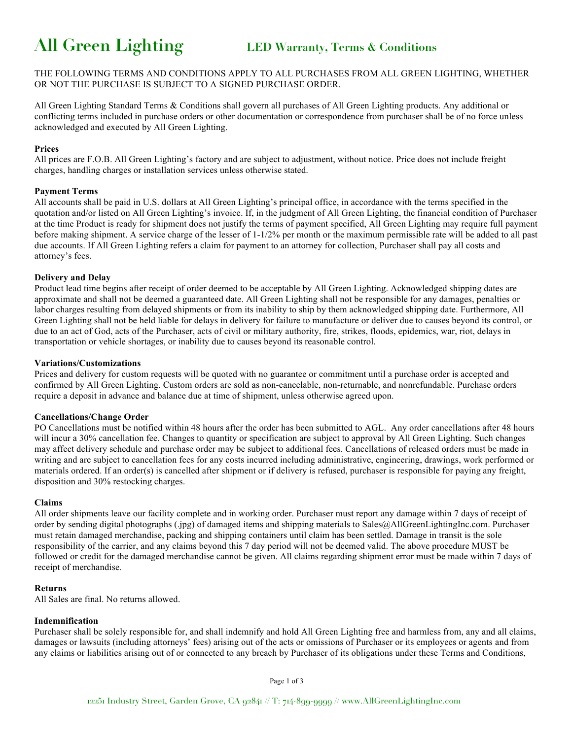# **All Green Lighting LED Warranty, Terms & Conditions**

THE FOLLOWING TERMS AND CONDITIONS APPLY TO ALL PURCHASES FROM ALL GREEN LIGHTING, WHETHER OR NOT THE PURCHASE IS SUBJECT TO A SIGNED PURCHASE ORDER.

All Green Lighting Standard Terms & Conditions shall govern all purchases of All Green Lighting products. Any additional or conflicting terms included in purchase orders or other documentation or correspondence from purchaser shall be of no force unless acknowledged and executed by All Green Lighting.

#### **Prices**

All prices are F.O.B. All Green Lighting's factory and are subject to adjustment, without notice. Price does not include freight charges, handling charges or installation services unless otherwise stated.

#### **Payment Terms**

All accounts shall be paid in U.S. dollars at All Green Lighting's principal office, in accordance with the terms specified in the quotation and/or listed on All Green Lighting's invoice. If, in the judgment of All Green Lighting, the financial condition of Purchaser at the time Product is ready for shipment does not justify the terms of payment specified, All Green Lighting may require full payment before making shipment. A service charge of the lesser of 1-1/2% per month or the maximum permissible rate will be added to all past due accounts. If All Green Lighting refers a claim for payment to an attorney for collection, Purchaser shall pay all costs and attorney's fees.

#### **Delivery and Delay**

Product lead time begins after receipt of order deemed to be acceptable by All Green Lighting. Acknowledged shipping dates are approximate and shall not be deemed a guaranteed date. All Green Lighting shall not be responsible for any damages, penalties or labor charges resulting from delayed shipments or from its inability to ship by them acknowledged shipping date. Furthermore, All Green Lighting shall not be held liable for delays in delivery for failure to manufacture or deliver due to causes beyond its control, or due to an act of God, acts of the Purchaser, acts of civil or military authority, fire, strikes, floods, epidemics, war, riot, delays in transportation or vehicle shortages, or inability due to causes beyond its reasonable control.

#### **Variations/Customizations**

Prices and delivery for custom requests will be quoted with no guarantee or commitment until a purchase order is accepted and confirmed by All Green Lighting. Custom orders are sold as non-cancelable, non-returnable, and nonrefundable. Purchase orders require a deposit in advance and balance due at time of shipment, unless otherwise agreed upon.

#### **Cancellations/Change Order**

PO Cancellations must be notified within 48 hours after the order has been submitted to AGL. Any order cancellations after 48 hours will incur a 30% cancellation fee. Changes to quantity or specification are subject to approval by All Green Lighting. Such changes may affect delivery schedule and purchase order may be subject to additional fees. Cancellations of released orders must be made in writing and are subject to cancellation fees for any costs incurred including administrative, engineering, drawings, work performed or materials ordered. If an order(s) is cancelled after shipment or if delivery is refused, purchaser is responsible for paying any freight, disposition and 30% restocking charges.

#### **Claims**

All order shipments leave our facility complete and in working order. Purchaser must report any damage within 7 days of receipt of order by sending digital photographs (.jpg) of damaged items and shipping materials to Sales@AllGreenLightingInc.com. Purchaser must retain damaged merchandise, packing and shipping containers until claim has been settled. Damage in transit is the sole responsibility of the carrier, and any claims beyond this 7 day period will not be deemed valid. The above procedure MUST be followed or credit for the damaged merchandise cannot be given. All claims regarding shipment error must be made within 7 days of receipt of merchandise.

#### **Returns**

All Sales are final. No returns allowed.

### **Indemnification**

Purchaser shall be solely responsible for, and shall indemnify and hold All Green Lighting free and harmless from, any and all claims, damages or lawsuits (including attorneys' fees) arising out of the acts or omissions of Purchaser or its employees or agents and from any claims or liabilities arising out of or connected to any breach by Purchaser of its obligations under these Terms and Conditions,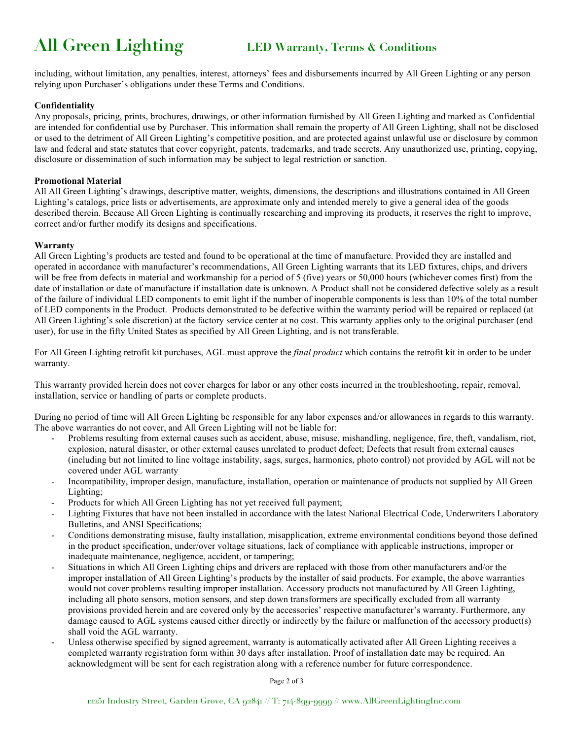# **All Green Lighting LED Warranty, Terms & Conditions**

including, without limitation, any penalties, interest, attorneys' fees and disbursements incurred by All Green Lighting or any person relying upon Purchaser's obligations under these Terms and Conditions.

#### **Confidentiality**

Any proposals, pricing, prints, brochures, drawings, or other information furnished by All Green Lighting and marked as Confidential are intended for confidential use by Purchaser. This information shall remain the property of All Green Lighting, shall not be disclosed or used to the detriment of All Green Lighting's competitive position, and are protected against unlawful use or disclosure by common law and federal and state statutes that cover copyright, patents, trademarks, and trade secrets. Any unauthorized use, printing, copying, disclosure or dissemination of such information may be subject to legal restriction or sanction.

#### **Promotional Material**

All All Green Lighting's drawings, descriptive matter, weights, dimensions, the descriptions and illustrations contained in All Green Lighting's catalogs, price lists or advertisements, are approximate only and intended merely to give a general idea of the goods described therein. Because All Green Lighting is continually researching and improving its products, it reserves the right to improve, correct and/or further modify its designs and specifications.

#### **Warranty**

All Green Lighting's products are tested and found to be operational at the time of manufacture. Provided they are installed and operated in accordance with manufacturer's recommendations, All Green Lighting warrants that its LED fixtures, chips, and drivers will be free from defects in material and workmanship for a period of 5 (five) years or 50,000 hours (whichever comes first) from the date of installation or date of manufacture if installation date is unknown. A Product shall not be considered defective solely as a result of the failure of individual LED components to emit light if the number of inoperable components is less than 10% of the total number of LED components in the Product. Products demonstrated to be defective within the warranty period will be repaired or replaced (at All Green Lighting's sole discretion) at the factory service center at no cost. This warranty applies only to the original purchaser (end user), for use in the fifty United States as specified by All Green Lighting, and is not transferable.

For All Green Lighting retrofit kit purchases, AGL must approve the *final product* which contains the retrofit kit in order to be under warranty.

This warranty provided herein does not cover charges for labor or any other costs incurred in the troubleshooting, repair, removal, installation, service or handling of parts or complete products.

During no period of time will All Green Lighting be responsible for any labor expenses and/or allowances in regards to this warranty. The above warranties do not cover, and All Green Lighting will not be liable for:

- Problems resulting from external causes such as accident, abuse, misuse, mishandling, negligence, fire, theft, vandalism, riot, explosion, natural disaster, or other external causes unrelated to product defect; Defects that result from external causes (including but not limited to line voltage instability, sags, surges, harmonics, photo control) not provided by AGL will not be covered under AGL warranty
- Incompatibility, improper design, manufacture, installation, operation or maintenance of products not supplied by All Green Lighting;
- Products for which All Green Lighting has not yet received full payment;
- Lighting Fixtures that have not been installed in accordance with the latest National Electrical Code, Underwriters Laboratory Bulletins, and ANSI Specifications;
- Conditions demonstrating misuse, faulty installation, misapplication, extreme environmental conditions beyond those defined in the product specification, under/over voltage situations, lack of compliance with applicable instructions, improper or inadequate maintenance, negligence, accident, or tampering;
- Situations in which All Green Lighting chips and drivers are replaced with those from other manufacturers and/or the improper installation of All Green Lighting's products by the installer of said products. For example, the above warranties would not cover problems resulting improper installation. Accessory products not manufactured by All Green Lighting, including all photo sensors, motion sensors, and step down transformers are specifically excluded from all warranty provisions provided herein and are covered only by the accessories' respective manufacturer's warranty. Furthermore, any damage caused to AGL systems caused either directly or indirectly by the failure or malfunction of the accessory product(s) shall void the AGL warranty.
- Unless otherwise specified by signed agreement, warranty is automatically activated after All Green Lighting receives a completed warranty registration form within 30 days after installation. Proof of installation date may be required. An acknowledgment will be sent for each registration along with a reference number for future correspondence.

Page 2 of 3